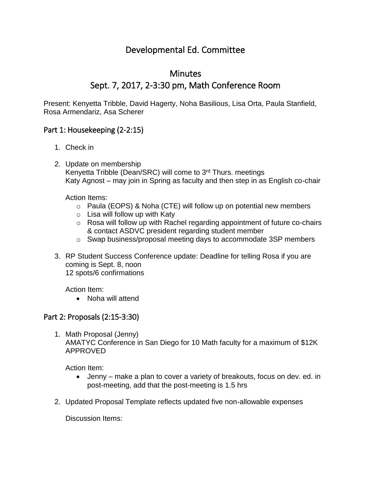## Developmental Ed. Committee

## Minutes Sept. 7, 2017, 2-3:30 pm, Math Conference Room

Present: Kenyetta Tribble, David Hagerty, Noha Basilious, Lisa Orta, Paula Stanfield, Rosa Armendariz, Asa Scherer

## Part 1: Housekeeping (2-2:15)

- 1. Check in
- 2. Update on membership Kenyetta Tribble (Dean/SRC) will come to 3<sup>rd</sup> Thurs. meetings Katy Agnost – may join in Spring as faculty and then step in as English co-chair

Action Items:

- o Paula (EOPS) & Noha (CTE) will follow up on potential new members
- $\circ$  Lisa will follow up with Katy
- o Rosa will follow up with Rachel regarding appointment of future co-chairs & contact ASDVC president regarding student member
- o Swap business/proposal meeting days to accommodate 3SP members
- 3. RP Student Success Conference update: Deadline for telling Rosa if you are coming is Sept. 8, noon 12 spots/6 confirmations

Action Item:

• Noha will attend

## Part 2: Proposals (2:15-3:30)

1. Math Proposal (Jenny) AMATYC Conference in San Diego for 10 Math faculty for a maximum of \$12K APPROVED

Action Item:

- Jenny make a plan to cover a variety of breakouts, focus on dev. ed. in post-meeting, add that the post-meeting is 1.5 hrs
- 2. Updated Proposal Template reflects updated five non-allowable expenses

Discussion Items: